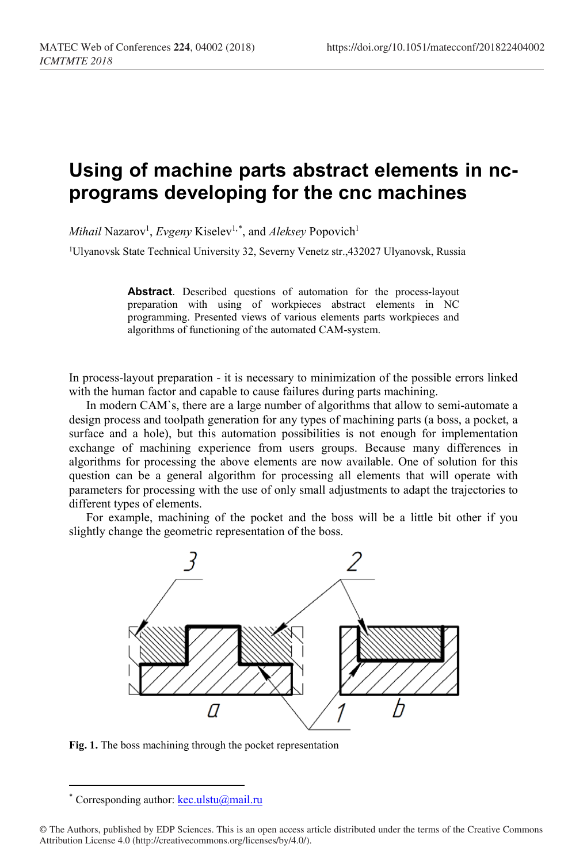## **Using of machine parts abstract elements in ncprograms developing for the cnc machines**

 $Mihail$  Nazarov<sup>1</sup>, *Evgeny* Kiselev<sup>1,[\\*](#page-0-0)</sup>, and *Aleksey* Popovich<sup>1</sup>

1Ulyanovsk State Technical University 32, Severny Venetz str.,432027 Ulyanovsk, Russia

**Abstract**. Described questions of automation for the process-layout preparation with using of workpieces abstract elements in NC programming. Presented views of various elements parts workpieces and algorithms of functioning of the automated CAM-system.

In process-layout preparation - it is necessary to minimization of the possible errors linked with the human factor and capable to cause failures during parts machining.

In modern CAM`s, there are a large number of algorithms that allow to semi-automate a design process and toolpath generation for any types of machining parts (a boss, a pocket, a surface and a hole), but this automation possibilities is not enough for implementation exchange of machining experience from users groups. Because many differences in algorithms for processing the above elements are now available. One of solution for this question can be a general algorithm for processing all elements that will operate with parameters for processing with the use of only small adjustments to adapt the trajectories to different types of elements.

For example, machining of the pocket and the boss will be a little bit other if you slightly change the geometric representation of the boss.



**Fig. 1.** The boss machining through the pocket representation

l

Corresponding author:  $\text{kec.ulstu}(\hat{\boldsymbol{a}})$ mail.ru

<span id="page-0-0"></span><sup>©</sup> The Authors, published by EDP Sciences. This is an open access article distributed under the terms of the Creative Commons Attribution License 4.0 (http://creativecommons.org/licenses/by/4.0/).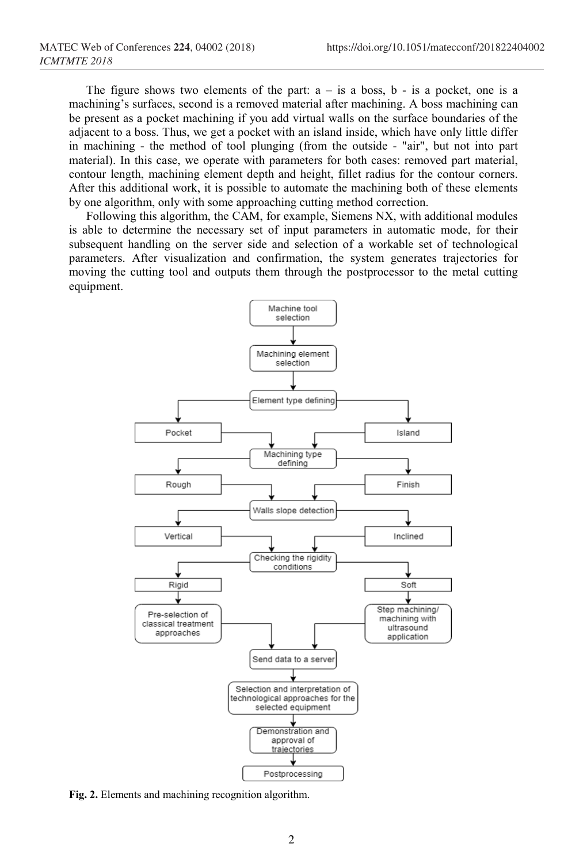The figure shows two elements of the part:  $a - is a boss$ ,  $b - is a pocket$ , one is a machining's surfaces, second is a removed material after machining. A boss machining can be present as a pocket machining if you add virtual walls on the surface boundaries of the adjacent to a boss. Thus, we get a pocket with an island inside, which have only little differ in machining - the method of tool plunging (from the outside - "air", but not into part material). In this case, we operate with parameters for both cases: removed part material, contour length, machining element depth and height, fillet radius for the contour corners. After this additional work, it is possible to automate the machining both of these elements by one algorithm, only with some approaching cutting method correction.

Following this algorithm, the CAM, for example, Siemens NX, with additional modules is able to determine the necessary set of input parameters in automatic mode, for their subsequent handling on the server side and selection of a workable set of technological parameters. After visualization and confirmation, the system generates trajectories for moving the cutting tool and outputs them through the postprocessor to the metal cutting equipment.



**Fig. 2.** Elements and machining recognition algorithm.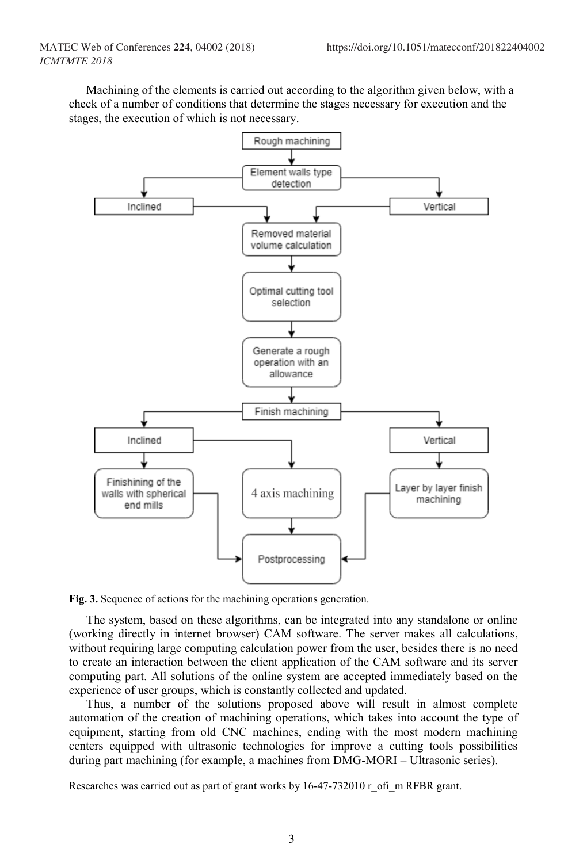Machining of the elements is carried out according to the algorithm given below, with a check of a number of conditions that determine the stages necessary for execution and the stages, the execution of which is not necessary.



**Fig. 3.** Sequence of actions for the machining operations generation.

The system, based on these algorithms, can be integrated into any standalone or online (working directly in internet browser) CAM software. The server makes all calculations, without requiring large computing calculation power from the user, besides there is no need to create an interaction between the client application of the CAM software and its server computing part. All solutions of the online system are accepted immediately based on the experience of user groups, which is constantly collected and updated.

Thus, a number of the solutions proposed above will result in almost complete automation of the creation of machining operations, which takes into account the type of equipment, starting from old CNC machines, ending with the most modern machining centers equipped with ultrasonic technologies for improve a cutting tools possibilities during part machining (for example, a machines from DMG-MORI – Ultrasonic series).

Researches was carried out as part of grant works by 16-47-732010 r\_ofi\_m RFBR grant.